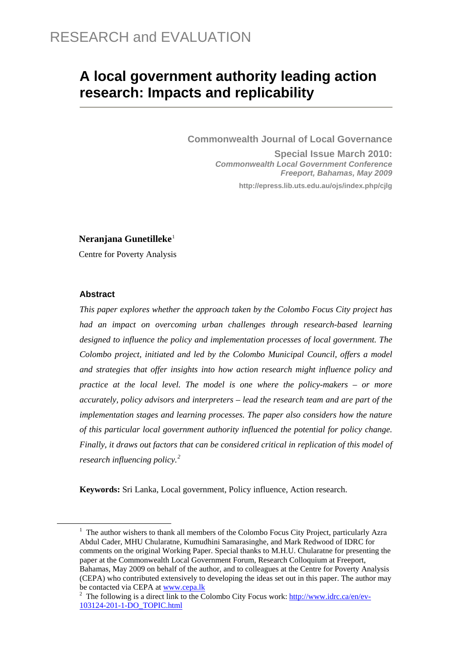# **A local government authority leading action research: Impacts and replicability**

**Commonwealth Journal of Local Governance** 

**Special Issue March 2010:**  *Commonwealth Local Government Conference Freeport, Bahamas, May 2009* **http://epress.lib.uts.edu.au/ojs/index.php/cjlg**

# **Neranjana Gunetilleke**[1](#page-0-0)

Centre for Poverty Analysis

## **Abstract**

*This paper explores whether the approach taken by the Colombo Focus City project has had an impact on overcoming urban challenges through research-based learning designed to influence the policy and implementation processes of local government. The Colombo project, initiated and led by the Colombo Municipal Council, offers a model and strategies that offer insights into how action research might influence policy and practice at the local level. The model is one where the policy-makers – or more accurately, policy advisors and interpreters – lead the research team and are part of the implementation stages and learning processes. The paper also considers how the nature of this particular local government authority influenced the potential for policy change. Finally, it draws out factors that can be considered critical in replication of this model of research influencing policy.[2](#page-0-1)*

**Keywords:** Sri Lanka, Local government, Policy influence, Action research.

<span id="page-0-0"></span> $\frac{1}{1}$  $1$  The author wishers to thank all members of the Colombo Focus City Project, particularly Azra Abdul Cader, MHU Chularatne, Kumudhini Samarasinghe, and Mark Redwood of IDRC for comments on the original Working Paper. Special thanks to M.H.U. Chularatne for presenting the paper at the Commonwealth Local Government Forum, Research Colloquium at Freeport, Bahamas, May 2009 on behalf of the author, and to colleagues at the Centre for Poverty Analysis (CEPA) who contributed extensively to developing the ideas set out in this paper. The author may be contacted via CEPA at www.cepa.lk

<span id="page-0-1"></span><sup>&</sup>lt;sup>2</sup> The following is a direct link to the Colombo City Focus work:  $\frac{http://www.idrc.ca/en/ev-1">http://www.idrc.ca/en/ev-1})$ [103124-201-1-DO\\_TOPIC.html](http://www.idrc.ca/en/ev-103124-201-1-DO_TOPIC.html)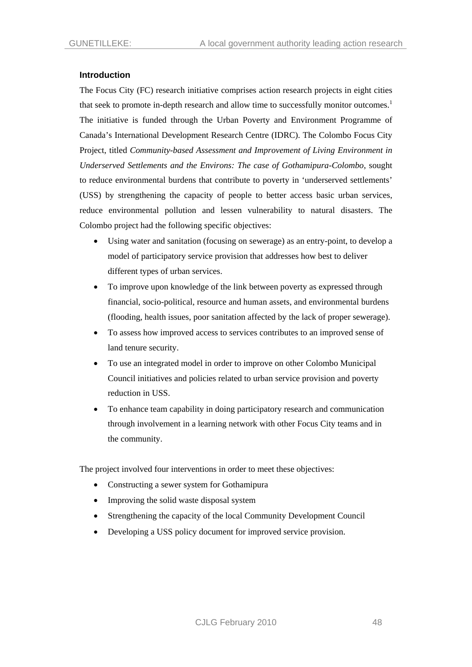# **Introduction**

The Focus City (FC) research initiative comprises action research projects in eight cities that seek to promote in-depth research and allow time to successfully monitor outcomes.<sup>1</sup> The initiative is funded through the Urban Poverty and Environment Programme of Canada's International Development Research Centre (IDRC). The Colombo Focus City Project, titled *Community-based Assessment and Improvement of Living Environment in Underserved Settlements and the Environs: The case of Gothamipura-Colombo*, sought to reduce environmental burdens that contribute to poverty in 'underserved settlements' (USS) by strengthening the capacity of people to better access basic urban services, reduce environmental pollution and lessen vulnerability to natural disasters. The Colombo project had the following specific objectives:

- Using water and sanitation (focusing on sewerage) as an entry-point, to develop a model of participatory service provision that addresses how best to deliver different types of urban services.
- To improve upon knowledge of the link between poverty as expressed through financial, socio-political, resource and human assets, and environmental burdens (flooding, health issues, poor sanitation affected by the lack of proper sewerage).
- To assess how improved access to services contributes to an improved sense of land tenure security.
- To use an integrated model in order to improve on other Colombo Municipal Council initiatives and policies related to urban service provision and poverty reduction in USS.
- To enhance team capability in doing participatory research and communication through involvement in a learning network with other Focus City teams and in the community.

The project involved four interventions in order to meet these objectives:

- Constructing a sewer system for Gothamipura
- Improving the solid waste disposal system
- Strengthening the capacity of the local Community Development Council
- Developing a USS policy document for improved service provision.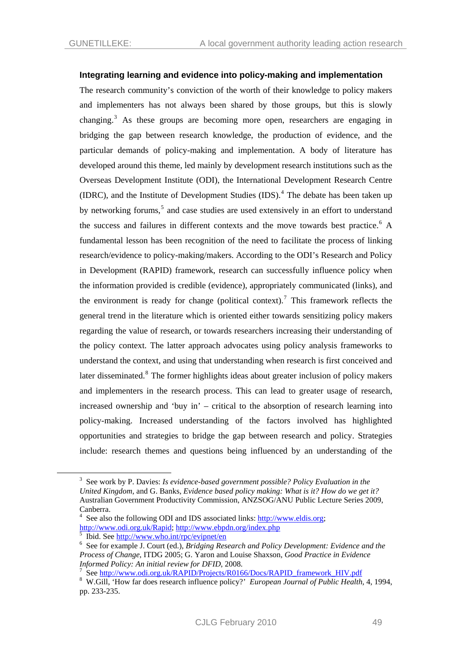## **Integrating learning and evidence into policy-making and implementation**

The research community's conviction of the worth of their knowledge to policy makers and implementers has not always been shared by those groups, but this is slowly changing.<sup>[3](#page-2-0)</sup> As these groups are becoming more open, researchers are engaging in bridging the gap between research knowledge, the production of evidence, and the particular demands of policy-making and implementation. A body of literature has developed around this theme, led mainly by development research institutions such as the Overseas Development Institute (ODI), the International Development Research Centre (IDRC), and the Institute of Development Studies  $(IDS)<sup>4</sup>$  $(IDS)<sup>4</sup>$  $(IDS)<sup>4</sup>$ . The debate has been taken up by networking forums,<sup>[5](#page-2-2)</sup> and case studies are used extensively in an effort to understand the success and failures in different contexts and the move towards best practice.<sup>[6](#page-2-3)</sup> A fundamental lesson has been recognition of the need to facilitate the process of linking research/evidence to policy-making/makers. According to the ODI's Research and Policy in Development (RAPID) framework, research can successfully influence policy when the information provided is credible (evidence), appropriately communicated (links), and the environment is ready for change (political context).<sup>[7](#page-2-4)</sup> This framework reflects the general trend in the literature which is oriented either towards sensitizing policy makers regarding the value of research, or towards researchers increasing their understanding of the policy context. The latter approach advocates using policy analysis frameworks to understand the context, and using that understanding when research is first conceived and later disseminated.<sup>[8](#page-2-5)</sup> The former highlights ideas about greater inclusion of policy makers and implementers in the research process. This can lead to greater usage of research, increased ownership and 'buy in' – critical to the absorption of research learning into policy-making. Increased understanding of the factors involved has highlighted opportunities and strategies to bridge the gap between research and policy. Strategies include: research themes and questions being influenced by an understanding of the

<span id="page-2-1"></span><span id="page-2-0"></span>1

<sup>3</sup> See work by P. Davies: *Is evidence-based government possible? Policy Evaluation in the United Kingdom*, and G. Banks, *Evidence based policy making: What is it? How do we get it?*  Australian Government Productivity Commission, ANZSOG/ANU Public Lecture Series 2009, Canberra.

<sup>&</sup>lt;sup>4</sup> See also the following ODI and IDS associated links: [http://www.eldis.org](http://www.eldis.org/); [http://www.odi.org.uk/Rapid;](http://www.odi.org.uk/Rapid) <http://www.ebpdn.org/index.php> <sup>5</sup>

<span id="page-2-2"></span> $\frac{1}{100}$  interval 5 Ibid. See <http://www.who.int/rpc/evipnet/en>

<span id="page-2-3"></span><sup>&</sup>lt;sup>6</sup> See for example J. Court (ed.), *Bridging Research and Policy Development: Evidence and the Process of Change*, ITDG 2005; G. Yaron and Louise Shaxson, *Good Practice in Evidence Informed Policy: An initial review for DFID, 2008.* 

See [http://www.odi.org.uk/RAPID/Projects/R0166/Docs/RAPID\\_framework\\_HIV.pdf](http://www.odi.org.uk/RAPID/Projects/R0166/Docs/RAPID_framework_HIV.pdf)

<span id="page-2-5"></span><span id="page-2-4"></span>W.Gill, 'How far does research influence policy?' *European Journal of Public Health*, 4, 1994, pp. 233-235.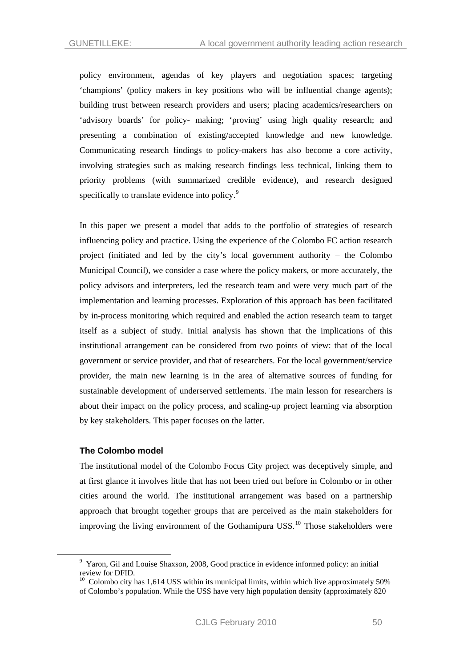policy environment, agendas of key players and negotiation spaces; targeting 'champions' (policy makers in key positions who will be influential change agents); building trust between research providers and users; placing academics/researchers on 'advisory boards' for policy- making; 'proving' using high quality research; and presenting a combination of existing/accepted knowledge and new knowledge. Communicating research findings to policy-makers has also become a core activity, involving strategies such as making research findings less technical, linking them to priority problems (with summarized credible evidence), and research designed specifically to translate evidence into policy.<sup>[9](#page-3-0)</sup>

In this paper we present a model that adds to the portfolio of strategies of research influencing policy and practice. Using the experience of the Colombo FC action research project (initiated and led by the city's local government authority – the Colombo Municipal Council), we consider a case where the policy makers, or more accurately, the policy advisors and interpreters, led the research team and were very much part of the implementation and learning processes. Exploration of this approach has been facilitated by in-process monitoring which required and enabled the action research team to target itself as a subject of study. Initial analysis has shown that the implications of this institutional arrangement can be considered from two points of view: that of the local government or service provider, and that of researchers. For the local government/service provider, the main new learning is in the area of alternative sources of funding for sustainable development of underserved settlements. The main lesson for researchers is about their impact on the policy process, and scaling-up project learning via absorption by key stakeholders. This paper focuses on the latter.

### **The Colombo model**

<span id="page-3-1"></span><span id="page-3-0"></span><u>.</u>

The institutional model of the Colombo Focus City project was deceptively simple, and at first glance it involves little that has not been tried out before in Colombo or in other cities around the world. The institutional arrangement was based on a partnership approach that brought together groups that are perceived as the main stakeholders for improving the living environment of the Gothamipura USS.<sup>[10](#page-3-1)</sup> Those stakeholders were

<sup>&</sup>lt;sup>9</sup> Yaron, Gil and Louise Shaxson, 2008, Good practice in evidence informed policy: an initial review for DFID.

 $10$  Colombo city has 1,614 USS within its municipal limits, within which live approximately 50% of Colombo's population. While the USS have very high population density (approximately 820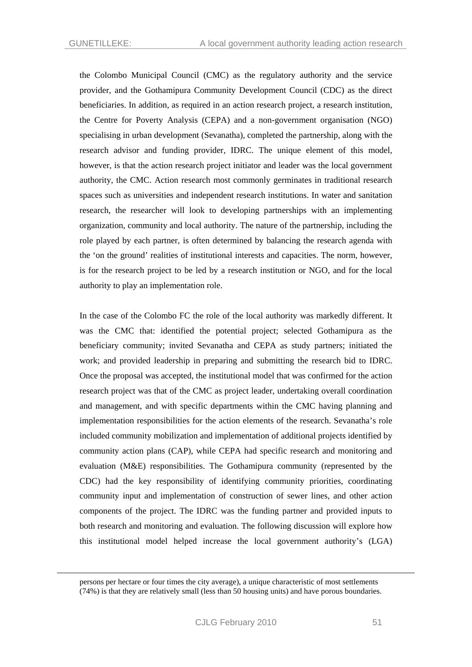the Colombo Municipal Council (CMC) as the regulatory authority and the service provider, and the Gothamipura Community Development Council (CDC) as the direct beneficiaries. In addition, as required in an action research project, a research institution, the Centre for Poverty Analysis (CEPA) and a non-government organisation (NGO) specialising in urban development (Sevanatha), completed the partnership, along with the research advisor and funding provider, IDRC. The unique element of this model, however, is that the action research project initiator and leader was the local government authority, the CMC. Action research most commonly germinates in traditional research spaces such as universities and independent research institutions. In water and sanitation research, the researcher will look to developing partnerships with an implementing organization, community and local authority. The nature of the partnership, including the role played by each partner, is often determined by balancing the research agenda with the 'on the ground' realities of institutional interests and capacities. The norm, however, is for the research project to be led by a research institution or NGO, and for the local authority to play an implementation role.

In the case of the Colombo FC the role of the local authority was markedly different. It was the CMC that: identified the potential project; selected Gothamipura as the beneficiary community; invited Sevanatha and CEPA as study partners; initiated the work; and provided leadership in preparing and submitting the research bid to IDRC. Once the proposal was accepted, the institutional model that was confirmed for the action research project was that of the CMC as project leader, undertaking overall coordination and management, and with specific departments within the CMC having planning and implementation responsibilities for the action elements of the research. Sevanatha's role included community mobilization and implementation of additional projects identified by community action plans (CAP), while CEPA had specific research and monitoring and evaluation (M&E) responsibilities. The Gothamipura community (represented by the CDC) had the key responsibility of identifying community priorities, coordinating community input and implementation of construction of sewer lines, and other action components of the project. The IDRC was the funding partner and provided inputs to both research and monitoring and evaluation. The following discussion will explore how this institutional model helped increase the local government authority's (LGA)

persons per hectare or four times the city average), a unique characteristic of most settlements (74%) is that they are relatively small (less than 50 housing units) and have porous boundaries.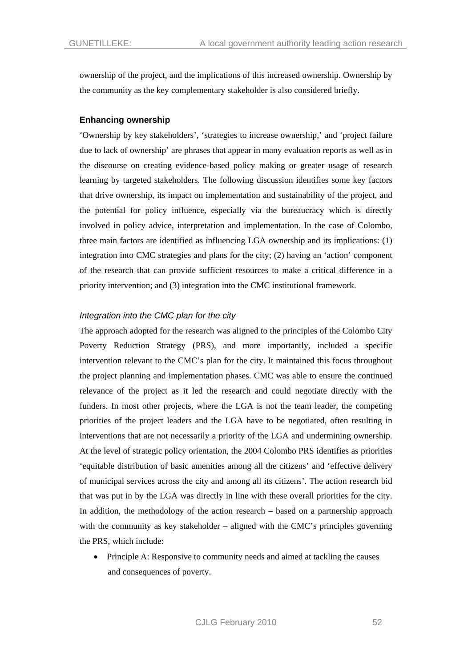ownership of the project, and the implications of this increased ownership. Ownership by the community as the key complementary stakeholder is also considered briefly.

# **Enhancing ownership**

'Ownership by key stakeholders', 'strategies to increase ownership,' and 'project failure due to lack of ownership' are phrases that appear in many evaluation reports as well as in the discourse on creating evidence-based policy making or greater usage of research learning by targeted stakeholders. The following discussion identifies some key factors that drive ownership, its impact on implementation and sustainability of the project, and the potential for policy influence, especially via the bureaucracy which is directly involved in policy advice, interpretation and implementation. In the case of Colombo, three main factors are identified as influencing LGA ownership and its implications: (1) integration into CMC strategies and plans for the city; (2) having an 'action' component of the research that can provide sufficient resources to make a critical difference in a priority intervention; and (3) integration into the CMC institutional framework.

# *Integration into the CMC plan for the city*

The approach adopted for the research was aligned to the principles of the Colombo City Poverty Reduction Strategy (PRS), and more importantly, included a specific intervention relevant to the CMC's plan for the city. It maintained this focus throughout the project planning and implementation phases. CMC was able to ensure the continued relevance of the project as it led the research and could negotiate directly with the funders. In most other projects, where the LGA is not the team leader, the competing priorities of the project leaders and the LGA have to be negotiated, often resulting in interventions that are not necessarily a priority of the LGA and undermining ownership. At the level of strategic policy orientation, the 2004 Colombo PRS identifies as priorities 'equitable distribution of basic amenities among all the citizens' and 'effective delivery of municipal services across the city and among all its citizens'. The action research bid that was put in by the LGA was directly in line with these overall priorities for the city. In addition, the methodology of the action research – based on a partnership approach with the community as key stakeholder – aligned with the CMC's principles governing the PRS, which include:

• Principle A: Responsive to community needs and aimed at tackling the causes and consequences of poverty.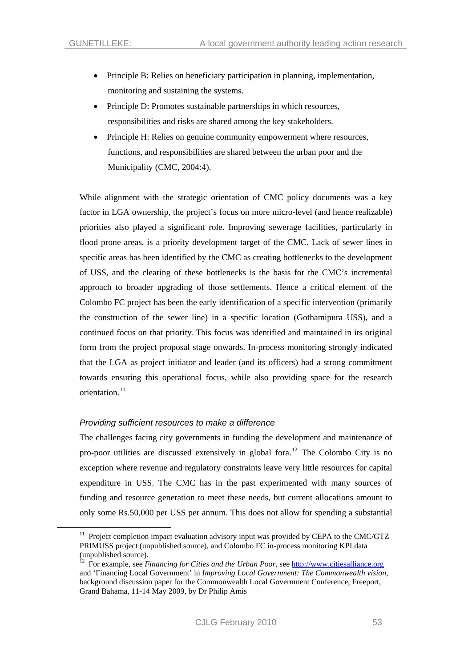- Principle B: Relies on beneficiary participation in planning, implementation, monitoring and sustaining the systems.
- Principle D: Promotes sustainable partnerships in which resources, responsibilities and risks are shared among the key stakeholders.
- Principle H: Relies on genuine community empowerment where resources, functions, and responsibilities are shared between the urban poor and the Municipality (CMC, 2004:4).

While alignment with the strategic orientation of CMC policy documents was a key factor in LGA ownership, the project's focus on more micro-level (and hence realizable) priorities also played a significant role. Improving sewerage facilities, particularly in flood prone areas, is a priority development target of the CMC. Lack of sewer lines in specific areas has been identified by the CMC as creating bottlenecks to the development of USS, and the clearing of these bottlenecks is the basis for the CMC's incremental approach to broader upgrading of those settlements. Hence a critical element of the Colombo FC project has been the early identification of a specific intervention (primarily the construction of the sewer line) in a specific location (Gothamipura USS), and a continued focus on that priority. This focus was identified and maintained in its original form from the project proposal stage onwards. In-process monitoring strongly indicated that the LGA as project initiator and leader (and its officers) had a strong commitment towards ensuring this operational focus, while also providing space for the research orientation.<sup>[11](#page-6-0)</sup>

## *Providing sufficient resources to make a difference*

The challenges facing city governments in funding the development and maintenance of pro-poor utilities are discussed extensively in global fora.<sup>[12](#page-6-1)</sup> The Colombo City is no exception where revenue and regulatory constraints leave very little resources for capital expenditure in USS. The CMC has in the past experimented with many sources of funding and resource generation to meet these needs, but current allocations amount to only some Rs.50,000 per USS per annum. This does not allow for spending a substantial

<span id="page-6-0"></span><sup>&</sup>lt;sup>11</sup> Project completion impact evaluation advisory input was provided by CEPA to the CMC/GTZ PRIMUSS project (unpublished source), and Colombo FC in-process monitoring KPI data (unpublished source).

<span id="page-6-1"></span><sup>&</sup>lt;sup>12</sup> For example, see *Financing for Cities and the Urban Poor*, see [http://www.citiesalliance.org](http://www.citiesalliance.org/) and 'Financing Local Government' in *Improving Local Government: The Commonwealth vision*, background discussion paper for the Commonwealth Local Government Conference, Freeport, Grand Bahama, 11-14 May 2009, by Dr Philip Amis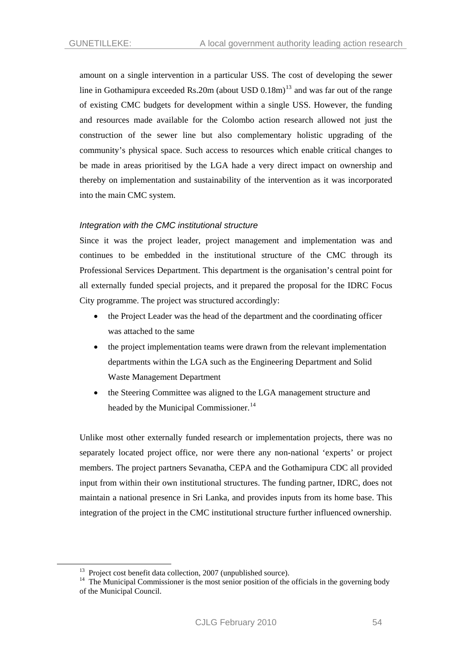amount on a single intervention in a particular USS. The cost of developing the sewer line in Gothamipura exceeded Rs.20m (about USD  $0.18m$ )<sup>[13](#page-7-0)</sup> and was far out of the range of existing CMC budgets for development within a single USS. However, the funding and resources made available for the Colombo action research allowed not just the construction of the sewer line but also complementary holistic upgrading of the community's physical space. Such access to resources which enable critical changes to be made in areas prioritised by the LGA hade a very direct impact on ownership and thereby on implementation and sustainability of the intervention as it was incorporated into the main CMC system.

#### *Integration with the CMC institutional structure*

Since it was the project leader, project management and implementation was and continues to be embedded in the institutional structure of the CMC through its Professional Services Department. This department is the organisation's central point for all externally funded special projects, and it prepared the proposal for the IDRC Focus City programme. The project was structured accordingly:

- the Project Leader was the head of the department and the coordinating officer was attached to the same
- the project implementation teams were drawn from the relevant implementation departments within the LGA such as the Engineering Department and Solid Waste Management Department
- the Steering Committee was aligned to the LGA management structure and headed by the Municipal Commissioner.<sup>[14](#page-7-1)</sup>

Unlike most other externally funded research or implementation projects, there was no separately located project office, nor were there any non-national 'experts' or project members. The project partners Sevanatha, CEPA and the Gothamipura CDC all provided input from within their own institutional structures. The funding partner, IDRC, does not maintain a national presence in Sri Lanka, and provides inputs from its home base. This integration of the project in the CMC institutional structure further influenced ownership.

<span id="page-7-1"></span><span id="page-7-0"></span>1

<sup>&</sup>lt;sup>13</sup> Project cost benefit data collection, 2007 (unpublished source).

<sup>&</sup>lt;sup>14</sup> The Municipal Commissioner is the most senior position of the officials in the governing body of the Municipal Council.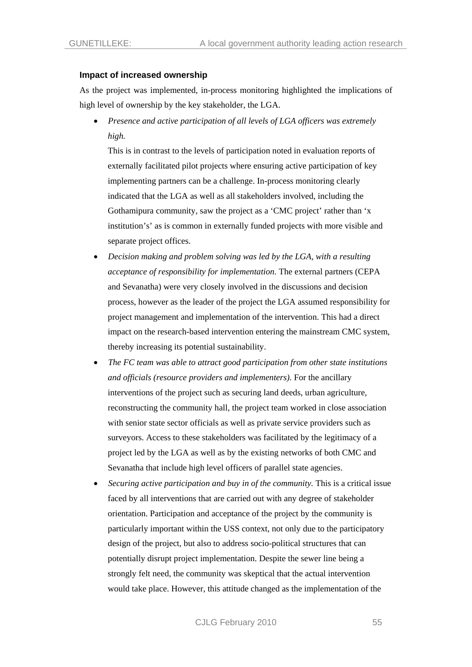# **Impact of increased ownership**

As the project was implemented, in-process monitoring highlighted the implications of high level of ownership by the key stakeholder, the LGA.

• *Presence and active participation of all levels of LGA officers was extremely high.*

This is in contrast to the levels of participation noted in evaluation reports of externally facilitated pilot projects where ensuring active participation of key implementing partners can be a challenge. In-process monitoring clearly indicated that the LGA as well as all stakeholders involved, including the Gothamipura community, saw the project as a 'CMC project' rather than 'x institution's' as is common in externally funded projects with more visible and separate project offices.

- *Decision making and problem solving was led by the LGA, with a resulting acceptance of responsibility for implementation.* The external partners (CEPA and Sevanatha) were very closely involved in the discussions and decision process, however as the leader of the project the LGA assumed responsibility for project management and implementation of the intervention. This had a direct impact on the research-based intervention entering the mainstream CMC system, thereby increasing its potential sustainability.
- *The FC team was able to attract good participation from other state institutions and officials (resource providers and implementers).* For the ancillary interventions of the project such as securing land deeds, urban agriculture, reconstructing the community hall, the project team worked in close association with senior state sector officials as well as private service providers such as surveyors. Access to these stakeholders was facilitated by the legitimacy of a project led by the LGA as well as by the existing networks of both CMC and Sevanatha that include high level officers of parallel state agencies.
- *Securing active participation and buy in of the community.* This is a critical issue faced by all interventions that are carried out with any degree of stakeholder orientation. Participation and acceptance of the project by the community is particularly important within the USS context, not only due to the participatory design of the project, but also to address socio-political structures that can potentially disrupt project implementation. Despite the sewer line being a strongly felt need, the community was skeptical that the actual intervention would take place. However, this attitude changed as the implementation of the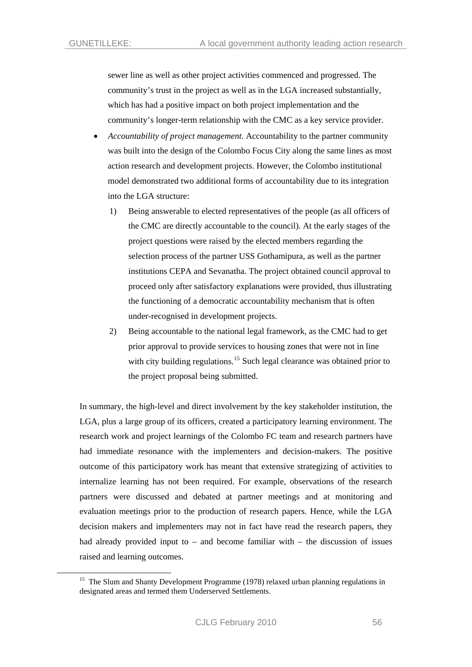sewer line as well as other project activities commenced and progressed. The community's trust in the project as well as in the LGA increased substantially, which has had a positive impact on both project implementation and the community's longer-term relationship with the CMC as a key service provider.

- *Accountability of project management.* Accountability to the partner community was built into the design of the Colombo Focus City along the same lines as most action research and development projects. However, the Colombo institutional model demonstrated two additional forms of accountability due to its integration into the LGA structure:
	- 1) Being answerable to elected representatives of the people (as all officers of the CMC are directly accountable to the council). At the early stages of the project questions were raised by the elected members regarding the selection process of the partner USS Gothamipura, as well as the partner institutions CEPA and Sevanatha. The project obtained council approval to proceed only after satisfactory explanations were provided, thus illustrating the functioning of a democratic accountability mechanism that is often under-recognised in development projects.
	- 2) Being accountable to the national legal framework, as the CMC had to get prior approval to provide services to housing zones that were not in line with city building regulations.<sup>[15](#page-9-0)</sup> Such legal clearance was obtained prior to the project proposal being submitted.

In summary, the high-level and direct involvement by the key stakeholder institution, the LGA, plus a large group of its officers, created a participatory learning environment. The research work and project learnings of the Colombo FC team and research partners have had immediate resonance with the implementers and decision-makers. The positive outcome of this participatory work has meant that extensive strategizing of activities to internalize learning has not been required. For example, observations of the research partners were discussed and debated at partner meetings and at monitoring and evaluation meetings prior to the production of research papers. Hence, while the LGA decision makers and implementers may not in fact have read the research papers, they had already provided input to – and become familiar with – the discussion of issues raised and learning outcomes.

<span id="page-9-0"></span><sup>&</sup>lt;sup>15</sup> The Slum and Shanty Development Programme (1978) relaxed urban planning regulations in designated areas and termed them Underserved Settlements.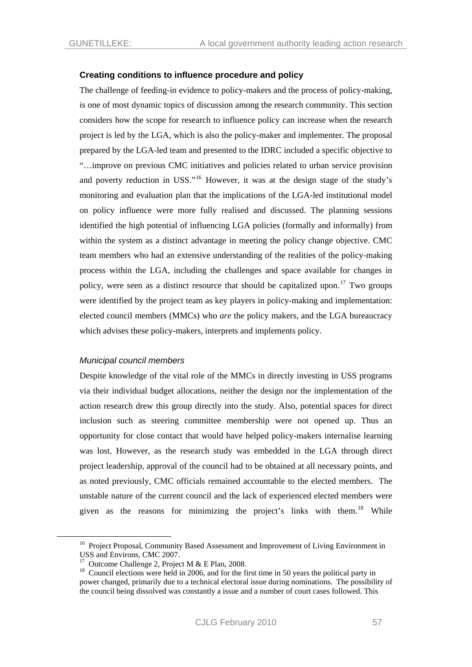# **Creating conditions to influence procedure and policy**

The challenge of feeding-in evidence to policy-makers and the process of policy-making, is one of most dynamic topics of discussion among the research community. This section considers how the scope for research to influence policy can increase when the research project is led by the LGA, which is also the policy-maker and implementer. The proposal prepared by the LGA-led team and presented to the IDRC included a specific objective to "…improve on previous CMC initiatives and policies related to urban service provision and poverty reduction in USS."[16](#page-10-0) However, it was at the design stage of the study's monitoring and evaluation plan that the implications of the LGA-led institutional model on policy influence were more fully realised and discussed. The planning sessions identified the high potential of influencing LGA policies (formally and informally) from within the system as a distinct advantage in meeting the policy change objective. CMC team members who had an extensive understanding of the realities of the policy-making process within the LGA, including the challenges and space available for changes in policy, were seen as a distinct resource that should be capitalized upon.<sup>[17](#page-10-1)</sup> Two groups were identified by the project team as key players in policy-making and implementation: elected council members (MMCs) who *are* the policy makers, and the LGA bureaucracy which advises these policy-makers, interprets and implements policy.

## *Municipal council members*

<span id="page-10-2"></span><span id="page-10-1"></span><span id="page-10-0"></span>1

Despite knowledge of the vital role of the MMCs in directly investing in USS programs via their individual budget allocations, neither the design nor the implementation of the action research drew this group directly into the study. Also, potential spaces for direct inclusion such as steering committee membership were not opened up. Thus an opportunity for close contact that would have helped policy-makers internalise learning was lost. However, as the research study was embedded in the LGA through direct project leadership, approval of the council had to be obtained at all necessary points, and as noted previously, CMC officials remained accountable to the elected members. The unstable nature of the current council and the lack of experienced elected members were given as the reasons for minimizing the project's links with them.<sup>[18](#page-10-2)</sup> While

<sup>&</sup>lt;sup>16</sup> Project Proposal, Community Based Assessment and Improvement of Living Environment in USS and Environs, CMC 2007.

<sup>&</sup>lt;sup>17</sup> Outcome Challenge 2, Project M  $&$  E Plan, 2008.

<sup>&</sup>lt;sup>18</sup> Council elections were held in 2006, and for the first time in 50 years the political party in power changed, primarily due to a technical electoral issue during nominations. The possibility of the council being dissolved was constantly a issue and a number of court cases followed. This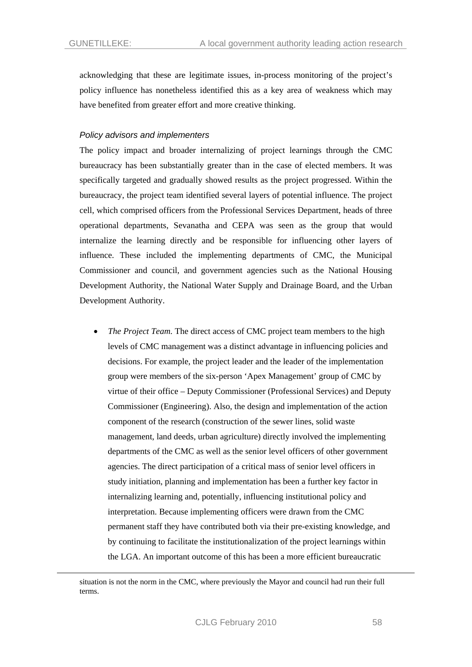acknowledging that these are legitimate issues, in-process monitoring of the project's policy influence has nonetheless identified this as a key area of weakness which may have benefited from greater effort and more creative thinking.

## *Policy advisors and implementers*

The policy impact and broader internalizing of project learnings through the CMC bureaucracy has been substantially greater than in the case of elected members. It was specifically targeted and gradually showed results as the project progressed. Within the bureaucracy, the project team identified several layers of potential influence. The project cell, which comprised officers from the Professional Services Department, heads of three operational departments, Sevanatha and CEPA was seen as the group that would internalize the learning directly and be responsible for influencing other layers of influence. These included the implementing departments of CMC, the Municipal Commissioner and council, and government agencies such as the National Housing Development Authority, the National Water Supply and Drainage Board, and the Urban Development Authority.

*The Project Team.* The direct access of CMC project team members to the high levels of CMC management was a distinct advantage in influencing policies and decisions. For example, the project leader and the leader of the implementation group were members of the six-person 'Apex Management' group of CMC by virtue of their office – Deputy Commissioner (Professional Services) and Deputy Commissioner (Engineering). Also, the design and implementation of the action component of the research (construction of the sewer lines, solid waste management, land deeds, urban agriculture) directly involved the implementing departments of the CMC as well as the senior level officers of other government agencies. The direct participation of a critical mass of senior level officers in study initiation, planning and implementation has been a further key factor in internalizing learning and, potentially, influencing institutional policy and interpretation. Because implementing officers were drawn from the CMC permanent staff they have contributed both via their pre-existing knowledge, and by continuing to facilitate the institutionalization of the project learnings within the LGA. An important outcome of this has been a more efficient bureaucratic

situation is not the norm in the CMC, where previously the Mayor and council had run their full terms.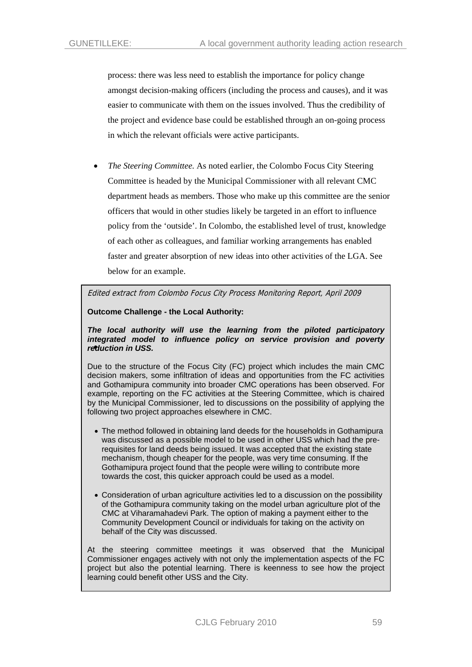process: there was less need to establish the importance for policy change amongst decision-making officers (including the process and causes), and it was easier to communicate with them on the issues involved. Thus the credibility of the project and evidence base could be established through an on-going process in which the relevant officials were active participants.

• *The Steering Committee.* As noted earlier, the Colombo Focus City Steering Committee is headed by the Municipal Commissioner with all relevant CMC department heads as members. Those who make up this committee are the senior officers that would in other studies likely be targeted in an effort to influence policy from the 'outside'. In Colombo, the established level of trust, knowledge of each other as colleagues, and familiar working arrangements has enabled faster and greater absorption of new ideas into other activities of the LGA. See below for an example.

## Edited extract from Colombo Focus City Process Monitoring Report, April 2009

#### **Outcome Challenge - the Local Authority:**

#### *The local authority will use the learning from the piloted participatory integrated model to influence policy on service provision and poverty reduction in USS.*  •

Due to the structure of the Focus City (FC) project which includes the main CMC decision makers, some infiltration of ideas and opportunities from the FC activities and Gothamipura community into broader CMC operations has been observed. For example, reporting on the FC activities at the Steering Committee, which is chaired by the Municipal Commissioner, led to discussions on the possibility of applying the following two project approaches elsewhere in CMC.

- The method followed in obtaining land deeds for the households in Gothamipura was discussed as a possible model to be used in other USS which had the prerequisites for land deeds being issued. It was accepted that the existing state mechanism, though cheaper for the people, was very time consuming. If the Gothamipura project found that the people were willing to contribute more towards the cost, this quicker approach could be used as a model.
- Consideration of urban agriculture activities led to a discussion on the possibility of the Gothamipura community taking on the model urban agriculture plot of the CMC at Viharamahadevi Park. The option of making a payment either to the Community Development Council or individuals for taking on the activity on behalf of the City was discussed.

At the steering committee meetings it was observed that the Municipal Commissioner engages actively with not only the implementation aspects of the FC project but also the potential learning. There is keenness to see how the project learning could benefit other USS and the City.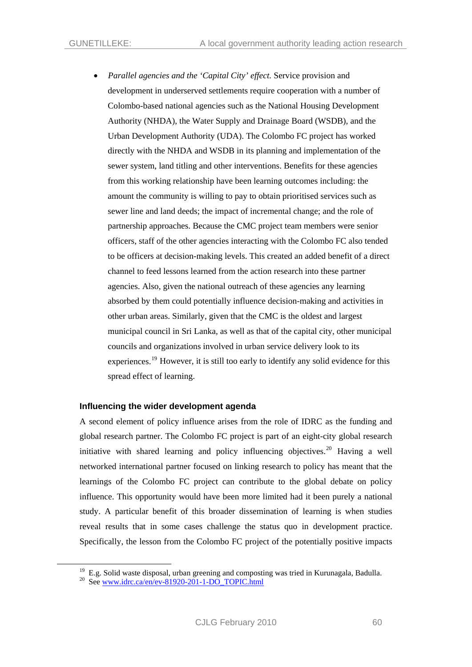• *Parallel agencies and the 'Capital City' effect.* Service provision and development in underserved settlements require cooperation with a number of Colombo-based national agencies such as the National Housing Development Authority (NHDA), the Water Supply and Drainage Board (WSDB), and the Urban Development Authority (UDA). The Colombo FC project has worked directly with the NHDA and WSDB in its planning and implementation of the sewer system, land titling and other interventions. Benefits for these agencies from this working relationship have been learning outcomes including: the amount the community is willing to pay to obtain prioritised services such as sewer line and land deeds; the impact of incremental change; and the role of partnership approaches. Because the CMC project team members were senior officers, staff of the other agencies interacting with the Colombo FC also tended to be officers at decision-making levels. This created an added benefit of a direct channel to feed lessons learned from the action research into these partner agencies. Also, given the national outreach of these agencies any learning absorbed by them could potentially influence decision-making and activities in other urban areas. Similarly, given that the CMC is the oldest and largest municipal council in Sri Lanka, as well as that of the capital city, other municipal councils and organizations involved in urban service delivery look to its experiences.<sup>[19](#page-13-0)</sup> However, it is still too early to identify any solid evidence for this spread effect of learning.

## **Influencing the wider development agenda**

A second element of policy influence arises from the role of IDRC as the funding and global research partner. The Colombo FC project is part of an eight-city global research initiative with shared learning and policy influencing objectives.<sup>[20](#page-13-1)</sup> Having a well networked international partner focused on linking research to policy has meant that the learnings of the Colombo FC project can contribute to the global debate on policy influence. This opportunity would have been more limited had it been purely a national study. A particular benefit of this broader dissemination of learning is when studies reveal results that in some cases challenge the status quo in development practice. Specifically, the lesson from the Colombo FC project of the potentially positive impacts

<span id="page-13-1"></span><span id="page-13-0"></span>1

 $19$  E.g. Solid waste disposal, urban greening and composting was tried in Kurunagala, Badulla.

<sup>&</sup>lt;sup>20</sup> See [www.idrc.ca/en/ev-81920-201-1-DO\\_TOPIC.html](http://www.idrc.ca/en/ev-81920-201-1-DO_TOPIC.html)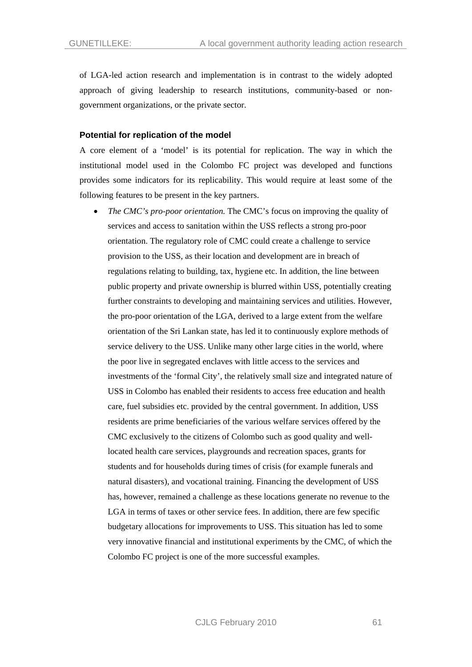of LGA-led action research and implementation is in contrast to the widely adopted approach of giving leadership to research institutions, community-based or nongovernment organizations, or the private sector.

#### **Potential for replication of the model**

A core element of a 'model' is its potential for replication. The way in which the institutional model used in the Colombo FC project was developed and functions provides some indicators for its replicability. This would require at least some of the following features to be present in the key partners.

• *The CMC's pro-poor orientation.* The CMC's focus on improving the quality of services and access to sanitation within the USS reflects a strong pro-poor orientation. The regulatory role of CMC could create a challenge to service provision to the USS, as their location and development are in breach of regulations relating to building, tax, hygiene etc. In addition, the line between public property and private ownership is blurred within USS, potentially creating further constraints to developing and maintaining services and utilities. However, the pro-poor orientation of the LGA, derived to a large extent from the welfare orientation of the Sri Lankan state, has led it to continuously explore methods of service delivery to the USS. Unlike many other large cities in the world, where the poor live in segregated enclaves with little access to the services and investments of the 'formal City', the relatively small size and integrated nature of USS in Colombo has enabled their residents to access free education and health care, fuel subsidies etc. provided by the central government. In addition, USS residents are prime beneficiaries of the various welfare services offered by the CMC exclusively to the citizens of Colombo such as good quality and welllocated health care services, playgrounds and recreation spaces, grants for students and for households during times of crisis (for example funerals and natural disasters), and vocational training. Financing the development of USS has, however, remained a challenge as these locations generate no revenue to the LGA in terms of taxes or other service fees. In addition, there are few specific budgetary allocations for improvements to USS. This situation has led to some very innovative financial and institutional experiments by the CMC, of which the Colombo FC project is one of the more successful examples.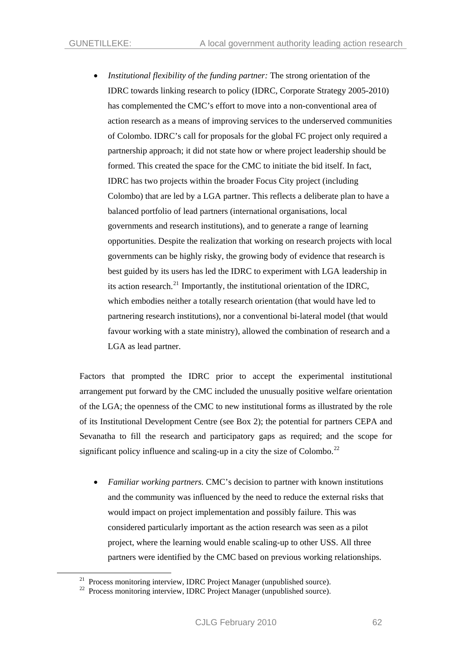partnering research institutions), nor a conventional bi-lateral model (that would LGA as lead partner. • *Institutional flexibility of the funding partner:* The strong orientation of the IDRC towards linking research to policy (IDRC, Corporate Strategy 2005-2010) has complemented the CMC's effort to move into a non-conventional area of action research as a means of improving services to the underserved communities of Colombo. IDRC's call for proposals for the global FC project only required a partnership approach; it did not state how or where project leadership should be formed. This created the space for the CMC to initiate the bid itself. In fact, IDRC has two projects within the broader Focus City project (including Colombo) that are led by a LGA partner. This reflects a deliberate plan to have a balanced portfolio of lead partners (international organisations, local governments and research institutions), and to generate a range of learning opportunities. Despite the realization that working on research projects with local governments can be highly risky, the growing body of evidence that research is best guided by its users has led the IDRC to experiment with LGA leadership in its action research. $^{21}$  $^{21}$  $^{21}$  Importantly, the institutional orientation of the IDRC, which embodies neither a totally research orientation (that would have led to favour working with a state ministry), allowed the combination of research and a

Factors that prompted the IDRC prior to accept the experimental institutional arrangement put forward by the CMC included the unusually positive welfare orientation of the LGA; the openness of the CMC to new institutional forms as illustrated by the role of its Institutional Development Centre (see Box 2); the potential for partners CEPA and Sevanatha to fill the research and participatory gaps as required; and the scope for significant policy influence and scaling-up in a city the size of Colombo.<sup>[22](#page-15-1)</sup>

• *Familiar working partners.* CMC's decision to partner with known institutions and the community was influenced by the need to reduce the external risks that would impact on project implementation and possibly failure. This was considered particularly important as the action research was seen as a pilot project, where the learning would enable scaling-up to other USS. All three partners were identified by the CMC based on previous working relationships.

<span id="page-15-0"></span> $21$  Process monitoring interview, IDRC Project Manager (unpublished source).

<span id="page-15-1"></span><sup>&</sup>lt;sup>22</sup> Process monitoring interview, IDRC Project Manager (unpublished source).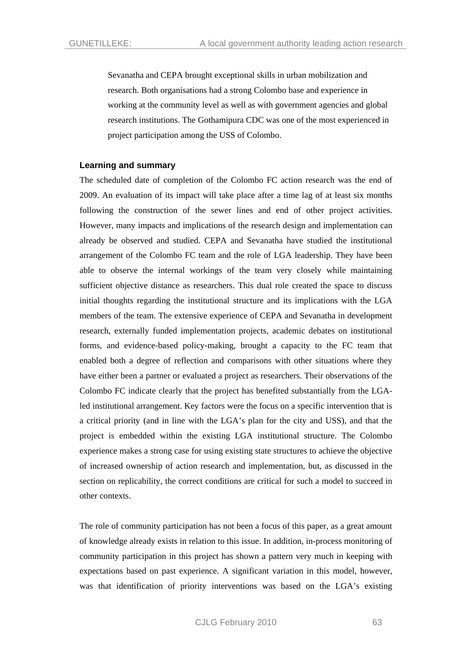Sevanatha and CEPA brought exceptional skills in urban mobilization and research. Both organisations had a strong Colombo base and experience in working at the community level as well as with government agencies and global research institutions. The Gothamipura CDC was one of the most experienced in project participation among the USS of Colombo.

#### **Learning and summary**

The scheduled date of completion of the Colombo FC action research was the end of 2009. An evaluation of its impact will take place after a time lag of at least six months following the construction of the sewer lines and end of other project activities. However, many impacts and implications of the research design and implementation can already be observed and studied. CEPA and Sevanatha have studied the institutional arrangement of the Colombo FC team and the role of LGA leadership. They have been able to observe the internal workings of the team very closely while maintaining sufficient objective distance as researchers. This dual role created the space to discuss initial thoughts regarding the institutional structure and its implications with the LGA members of the team. The extensive experience of CEPA and Sevanatha in development research, externally funded implementation projects, academic debates on institutional forms, and evidence-based policy-making, brought a capacity to the FC team that enabled both a degree of reflection and comparisons with other situations where they have either been a partner or evaluated a project as researchers. Their observations of the Colombo FC indicate clearly that the project has benefited substantially from the LGAled institutional arrangement. Key factors were the focus on a specific intervention that is a critical priority (and in line with the LGA's plan for the city and USS), and that the project is embedded within the existing LGA institutional structure. The Colombo experience makes a strong case for using existing state structures to achieve the objective of increased ownership of action research and implementation, but, as discussed in the section on replicability, the correct conditions are critical for such a model to succeed in other contexts.

The role of community participation has not been a focus of this paper, as a great amount of knowledge already exists in relation to this issue. In addition, in-process monitoring of community participation in this project has shown a pattern very much in keeping with expectations based on past experience. A significant variation in this model, however, was that identification of priority interventions was based on the LGA's existing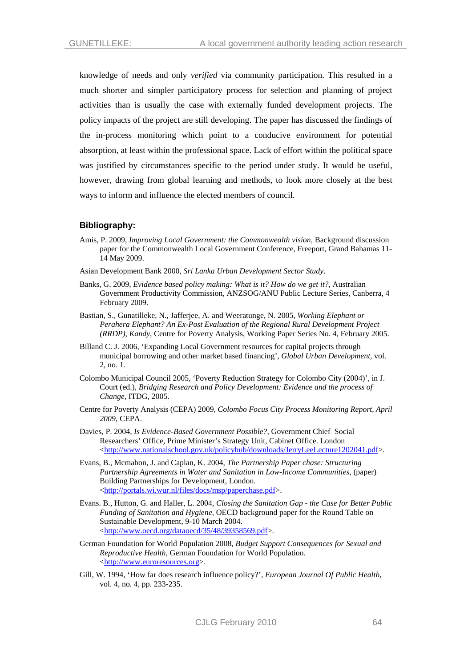knowledge of needs and only *verified* via community participation. This resulted in a much shorter and simpler participatory process for selection and planning of project activities than is usually the case with externally funded development projects. The policy impacts of the project are still developing. The paper has discussed the findings of the in-process monitoring which point to a conducive environment for potential absorption, at least within the professional space. Lack of effort within the political space was justified by circumstances specific to the period under study. It would be useful, however, drawing from global learning and methods, to look more closely at the best ways to inform and influence the elected members of council.

#### **Bibliography:**

- Amis, P. 2009, *Improving Local Government: the Commonwealth vision,* Background discussion paper for the Commonwealth Local Government Conference, Freeport, Grand Bahamas 11- 14 May 2009.
- Asian Development Bank 2000, *Sri Lanka Urban Development Sector Study*.
- Banks, G. 2009, *Evidence based policy making: What is it? How do we get it?*, Australian Government Productivity Commission, ANZSOG/ANU Public Lecture Series, Canberra, 4 February 2009.
- Bastian, S., Gunatilleke, N., Jafferjee, A. and Weeratunge, N. 2005, *Working Elephant or Perahera Elephant? An Ex-Post Evaluation of the Regional Rural Development Project (RRDP), Kandy*, Centre for Poverty Analysis, Working Paper Series No. 4, February 2005.
- Billand C. J. 2006, 'Expanding Local Government resources for capital projects through municipal borrowing and other market based financing', *Global Urban Development*, vol. 2, no. 1.
- Colombo Municipal Council 2005, 'Poverty Reduction Strategy for Colombo City (2004)', in J. Court (ed.), *Bridging Research and Policy Development: Evidence and the process of Change*, ITDG, 2005.
- Centre for Poverty Analysis (CEPA) 2009, *Colombo Focus City Process Monitoring Report, April 2009*, CEPA.
- Davies, P. 2004, *Is Evidence-Based Government Possible?*, Government Chief Social Researchers' Office, Prime Minister's Strategy Unit, Cabinet Office. London <<http://www.nationalschool.gov.uk/policyhub/downloads/JerryLeeLecture1202041.pdf>>.
- Evans, B., Mcmahon, J. and Caplan, K. 2004, *The Partnership Paper chase: Structuring Partnership Agreements in Water and Sanitation in Low-Income Communities*, (paper) Building Partnerships for Development, London. <[http://portals.wi.wur.nl/files/docs/msp/paperchase.pdf>](http://portals.wi.wur.nl/files/docs/msp/paperchase.pdf).
- Evans. B., Hutton, G. and Haller, L. 2004, *Closing the Sanitation Gap the Case for Better Public Funding of Sanitation and Hygiene*, OECD background paper for the Round Table on Sustainable Development, 9-10 March 2004. <[http://www.oecd.org/dataoecd/35/48/39358569.pdf>](http://www.oecd.org/dataoecd/35/48/39358569.pdf).
- German Foundation for World Population 2008, *Budget Support Consequences for Sexual and Reproductive Health,* German Foundation for World Population. <[http://www.euroresources.org](http://www.euroresources.org/)>.
- Gill, W. 1994, 'How far does research influence policy?', *European Journal Of Public Health*, vol. 4, no. 4, pp. 233-235.